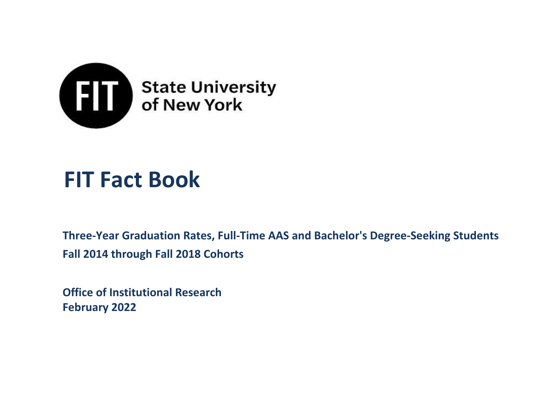

# **FIT Fact Book**

**Three-Year Graduation Rates, Full-Time AAS and Bachelor's Degree-Seeking Students Fall 2014 through Fall 2018 Cohorts**

**Office of Institutional Research February 2022**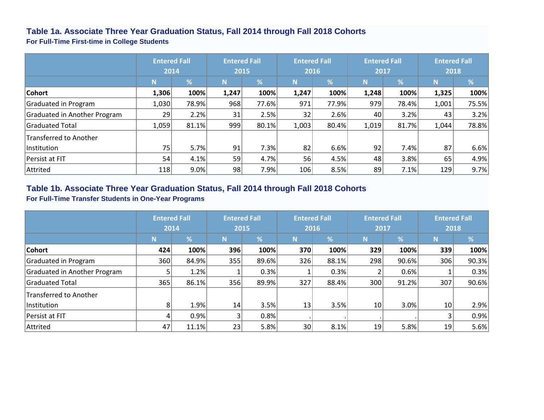#### **Table 1a. Associate Three Year Graduation Status, Fall 2014 through Fall 2018 Cohorts**

**For Full-Time First-time in College Students**

|                              | <b>Entered Fall</b><br>2014 |         |       | <b>Entered Fall</b><br>2015 |       | <b>Entered Fall</b><br>2016 |       | <b>Entered Fall</b><br>2017 |       | <b>Entered Fall</b><br>2018 |  |
|------------------------------|-----------------------------|---------|-------|-----------------------------|-------|-----------------------------|-------|-----------------------------|-------|-----------------------------|--|
|                              | N                           | %       | N     | $\overline{\%}$             | N     | $\overline{\%}$             | N     | $\frac{9}{6}$               | N     | %                           |  |
| Cohort                       | 1,306                       | 100%    | 1,247 | 100%                        | 1,247 | 100%                        | 1,248 | 100%                        | 1,325 | 100%                        |  |
| Graduated in Program         | 1,030                       | 78.9%   | 968   | 77.6%                       | 971   | 77.9%                       | 979   | 78.4%                       | 1,001 | 75.5%                       |  |
| Graduated in Another Program | 29                          | 2.2%    | 31    | 2.5%                        | 32    | 2.6%                        | 40    | 3.2%                        | 43    | 3.2%                        |  |
| Graduated Total              | 1,059                       | 81.1%   | 999   | 80.1%                       | 1,003 | 80.4%                       | 1,019 | 81.7%                       | 1,044 | 78.8%                       |  |
| Transferred to Another       |                             |         |       |                             |       |                             |       |                             |       |                             |  |
| lInstitution                 | 75                          | 5.7%    | 91    | 7.3%                        | 82    | 6.6%                        | 92    | 7.4%                        | 87    | 6.6%                        |  |
| Persist at FIT               | 54                          | 4.1%    | 59    | 4.7%                        | 56    | 4.5%                        | 48    | 3.8%                        | 65    | 4.9%                        |  |
| Attrited                     | 118                         | $9.0\%$ | 98    | 7.9%                        | 106   | 8.5%                        | 89    | 7.1%                        | 129   | 9.7%                        |  |

#### **Table 1b. Associate Three Year Graduation Status, Fall 2014 through Fall 2018 Cohorts**

#### **For Full-Time Transfer Students in One-Year Programs**

|                              | <b>Entered Fall</b><br>2014 |       |                | <b>Entered Fall</b><br>2015 |                 | <b>Entered Fall</b><br>2016 |                 | <b>Entered Fall</b><br>2017 |     | <b>Entered Fall</b><br>2018 |  |
|------------------------------|-----------------------------|-------|----------------|-----------------------------|-----------------|-----------------------------|-----------------|-----------------------------|-----|-----------------------------|--|
|                              | N                           | %     | N              | $\sqrt{2}$                  | N               | %                           | N               | %                           | N   | %                           |  |
| Cohort                       | 424                         | 100%  | 396            | 100%                        | 370             | 100%                        | 329             | 100%                        | 339 | 100%                        |  |
| Graduated in Program         | 360                         | 84.9% | 355            | 89.6%                       | 326             | 88.1%                       | 298             | 90.6%                       | 306 | 90.3%                       |  |
| Graduated in Another Program |                             | 1.2%  |                | 0.3%                        |                 | 0.3%                        |                 | 0.6%                        |     | 0.3%                        |  |
| <b>Graduated Total</b>       | 365                         | 86.1% | 356            | 89.9%                       | 327             | 88.4%                       | 300             | 91.2%                       | 307 | 90.6%                       |  |
| Transferred to Another       |                             |       |                |                             |                 |                             |                 |                             |     |                             |  |
| Institution                  | 8                           | 1.9%  | 14             | 3.5%                        | 13              | 3.5%                        | 10 <sup>1</sup> | 3.0%                        | 10  | 2.9%                        |  |
| Persist at FIT               |                             | 0.9%  | 3 <sub>l</sub> | 0.8%                        |                 |                             |                 |                             | 3   | 0.9%                        |  |
| Attrited                     | 47                          | 11.1% | 23             | 5.8%                        | 30 <sup>°</sup> | 8.1%                        | 19              | 5.8%                        | 19  | 5.6%                        |  |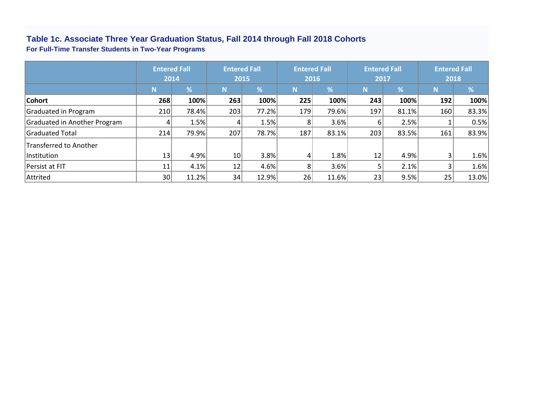#### **For Full-Time Transfer Students in Two-Year Programs Table 1c. Associate Three Year Graduation Status, Fall 2014 through Fall 2018 Cohorts**

|                              | <b>Entered Fall</b> |       | <b>Entered Fall</b><br><b>Entered Fall</b> |       |                | <b>Entered Fall</b>      |      | <b>Entered Fall</b> |      |       |
|------------------------------|---------------------|-------|--------------------------------------------|-------|----------------|--------------------------|------|---------------------|------|-------|
|                              |                     | 2014  |                                            | 2015  |                | 2016                     | 2017 |                     | 2018 |       |
|                              | N                   | %     | N                                          | %     | N              | $\overline{\mathcal{A}}$ | N    | %                   | N    | %     |
| <b>Cohort</b>                | 268                 | 100%  | 263                                        | 100%  | 225            | 100%                     | 243  | 100%                | 192  | 100%  |
| Graduated in Program         | 210                 | 78.4% | 203                                        | 77.2% | 179            | 79.6%                    | 197  | 81.1%               | 160  | 83.3% |
| Graduated in Another Program |                     | 1.5%  | 4                                          | 1.5%  | 81             | 3.6%                     | 61   | 2.5%                |      | 0.5%  |
| Graduated Total              | 214                 | 79.9% | 207                                        | 78.7% | 187            | 83.1%                    | 203  | 83.5%               | 161  | 83.9% |
| Transferred to Another       |                     |       |                                            |       |                |                          |      |                     |      |       |
| Institution                  | 13                  | 4.9%  | 10 <sup>1</sup>                            | 3.8%  | 4              | 1.8%                     | 12   | 4.9%                | 3    | 1.6%  |
| Persist at FIT               | 11                  | 4.1%  | 12                                         | 4.6%  | 8 <sup>1</sup> | 3.6%                     |      | 2.1%                |      | 1.6%  |
| Attrited                     | 30                  | 11.2% | 34                                         | 12.9% | 26             | 11.6%                    | 23   | 9.5%                | 25   | 13.0% |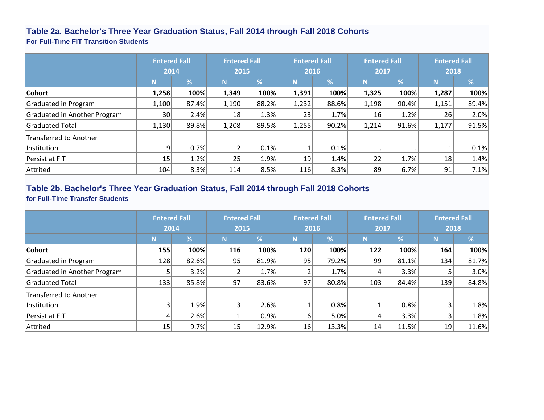#### **Table 2a. Bachelor's Three Year Graduation Status, Fall 2014 through Fall 2018 Cohorts**

**For Full-Time FIT Transition Students**

|                              | <b>Entered Fall</b><br>2014 |       | <b>Entered Fall</b><br>2015 |       | <b>Entered Fall</b><br>2016 |                 | <b>Entered Fall</b><br>2017 |       | <b>Entered Fall</b><br>2018 |       |
|------------------------------|-----------------------------|-------|-----------------------------|-------|-----------------------------|-----------------|-----------------------------|-------|-----------------------------|-------|
|                              | $\mathbf N$                 | %     | N                           | %     | N                           | $\overline{\%}$ | N                           | %     | N                           | %     |
| Cohort                       | 1,258                       | 100%  | 1,349                       | 100%  | 1,391                       | 100%            | 1,325                       | 100%  | 1,287                       | 100%  |
| Graduated in Program         | 1,100                       | 87.4% | 1,190                       | 88.2% | 1,232                       | 88.6%           | 1,198                       | 90.4% | 1,151                       | 89.4% |
| Graduated in Another Program | 30 <sup>1</sup>             | 2.4%  | 18                          | 1.3%  | 23                          | 1.7%            | 16                          | 1.2%  | 26 <sup>1</sup>             | 2.0%  |
| Graduated Total              | 1,130                       | 89.8% | 1,208                       | 89.5% | 1,255                       | 90.2%           | 1,214                       | 91.6% | 1,177                       | 91.5% |
| Transferred to Another       |                             |       |                             |       |                             |                 |                             |       |                             |       |
| <b>Institution</b>           | 9                           | 0.7%  |                             | 0.1%  |                             | 0.1%            |                             |       |                             | 0.1%  |
| Persist at FIT               | 15 <sub>1</sub>             | 1.2%  | 25                          | 1.9%  | 19                          | 1.4%            | 22                          | 1.7%  | 18                          | 1.4%  |
| Attrited                     | 104                         | 8.3%  | 114                         | 8.5%  | 116                         | 8.3%            | 89                          | 6.7%  | 91                          | 7.1%  |

#### **Table 2b. Bachelor's Three Year Graduation Status, Fall 2014 through Fall 2018 Cohorts for Full-Time Transfer Students**

|                              | <b>Entered Fall</b><br>2014 |            |     | <b>Entered Fall</b><br>2015 |     | <b>Entered Fall</b><br>2016 |             | <b>Entered Fall</b><br>2017 |     | <b>Entered Fall</b><br>2018 |  |
|------------------------------|-----------------------------|------------|-----|-----------------------------|-----|-----------------------------|-------------|-----------------------------|-----|-----------------------------|--|
|                              | N                           | $\sqrt{2}$ | N   | $\frac{9}{6}$               | N   | $\overline{\%}$             | $\mathbf N$ | %                           | N   | %                           |  |
| <b>Cohort</b>                | 155                         | 100%       | 116 | 100%                        | 120 | 100%                        | 122         | 100%                        | 164 | 100%                        |  |
| Graduated in Program         | 128                         | 82.6%      | 95  | 81.9%                       | 95  | 79.2%                       | 99          | 81.1%                       | 134 | 81.7%                       |  |
| Graduated in Another Program |                             | 3.2%       |     | 1.7%                        |     | 1.7%                        |             | 3.3%                        |     | 3.0%                        |  |
| Graduated Total              | 133                         | 85.8%      | 97  | 83.6%                       | 97  | 80.8%                       | 103         | 84.4%                       | 139 | 84.8%                       |  |
| Transferred to Another       |                             |            |     |                             |     |                             |             |                             |     |                             |  |
| Institution                  |                             | 1.9%       | 3   | 2.6%                        |     | 0.8%                        |             | 0.8%                        | 3   | 1.8%                        |  |
| Persist at FIT               |                             | 2.6%       |     | 0.9%                        | b   | 5.0%                        |             | 3.3%                        | 3   | 1.8%                        |  |
| Attrited                     | 15                          | 9.7%       | 15  | 12.9%                       | 16  | 13.3%                       | 14          | 11.5%                       | 19  | 11.6%                       |  |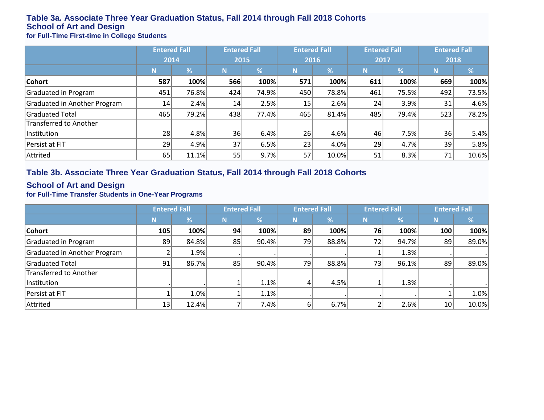## **Table 3a. Associate Three Year Graduation Status, Fall 2014 through Fall 2018 Cohorts School of Art and Design**

**for Full-Time First-time in College Students**

|                              |      | <b>Entered Fall</b> |     | <b>Entered Fall</b> |     | <b>Entered Fall</b> |                 | <b>Entered Fall</b> | <b>Entered Fall</b> |       |  |
|------------------------------|------|---------------------|-----|---------------------|-----|---------------------|-----------------|---------------------|---------------------|-------|--|
|                              | 2014 |                     |     | 2015                |     | 2016                |                 | 2017                |                     | 2018  |  |
|                              |      | %                   | N   | %                   | N   | ℅                   | N               | %                   | N                   | %     |  |
| Cohort                       | 587  | 100%                | 566 | 100%                | 571 | 100%                | 611             | 100%                | 669                 | 100%  |  |
| Graduated in Program         | 451  | 76.8%               | 424 | 74.9%               | 450 | 78.8%               | 461             | 75.5%               | 492                 | 73.5% |  |
| Graduated in Another Program | 14   | 2.4%                | 14  | 2.5%                | 15  | 2.6%                | 24              | 3.9%                | 31                  | 4.6%  |  |
| Graduated Total              | 465  | 79.2%               | 438 | 77.4%               | 465 | 81.4%               | 485             | 79.4%               | 523                 | 78.2% |  |
| Transferred to Another       |      |                     |     |                     |     |                     |                 |                     |                     |       |  |
| Institution                  | 28   | 4.8%                | 36  | 6.4%                | 26  | 4.6%                | 46 <sub>1</sub> | 7.5%                | 36                  | 5.4%  |  |
| Persist at FIT               | 29   | 4.9%                | 37  | 6.5%                | 23  | 4.0%                | 29              | 4.7%                | 39                  | 5.8%  |  |
| Attrited                     | 65   | 11.1%               | 55  | 9.7%                | 57  | 10.0%               | 51              | 8.3%                | 71                  | 10.6% |  |

#### **Table 3b. Associate Three Year Graduation Status, Fall 2014 through Fall 2018 Cohorts**

#### **School of Art and Design**

**for Full-Time Transfer Students in One-Year Programs**

|                              | <b>Entered Fall</b> |       |    | <b>Entered Fall</b> |    | <b>Entered Fall</b> |    | <b>Entered Fall</b> | <b>Entered Fall</b> |       |
|------------------------------|---------------------|-------|----|---------------------|----|---------------------|----|---------------------|---------------------|-------|
|                              | 'N.                 | %     | N  | %                   | N  | %                   |    | %                   | N                   | %     |
| <b>Cohort</b>                | 105                 | 100%  | 94 | 100%                | 89 | 100%                | 76 | 100%                | 100                 | 100%  |
| Graduated in Program         | 89                  | 84.8% | 85 | 90.4%               | 79 | 88.8%               | 72 | 94.7%               | 89                  | 89.0% |
| Graduated in Another Program |                     | 1.9%  |    |                     |    |                     |    | 1.3%                |                     |       |
| Graduated Total              | 91                  | 86.7% | 85 | 90.4%               | 79 | 88.8%               | 73 | 96.1%               | 89 <sub>1</sub>     | 89.0% |
| Transferred to Another       |                     |       |    |                     |    |                     |    |                     |                     |       |
| lnstitution                  |                     |       |    | 1.1%                | 4  | 4.5%                |    | 1.3%                |                     |       |
| Persist at FIT               |                     | 1.0%  |    | 1.1%                |    |                     |    |                     |                     | 1.0%  |
| Attrited                     | 13                  | 12.4% |    | 7.4%                | 61 | 6.7%                |    | 2.6%                | 10                  | 10.0% |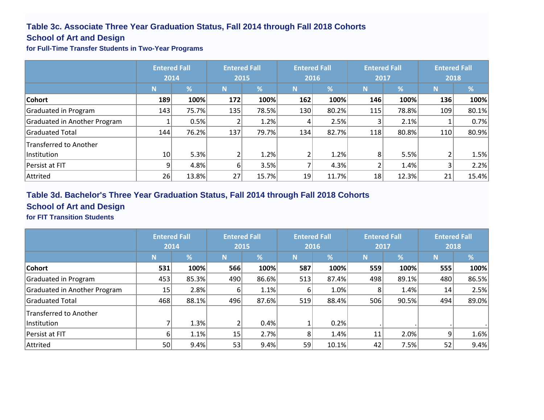### **Table 3c. Associate Three Year Graduation Status, Fall 2014 through Fall 2018 Cohorts**

#### **School of Art and Design**

**for Full-Time Transfer Students in Two-Year Programs**

|                              | <b>Entered Fall</b><br>2014 |       |     | <b>Entered Fall</b><br>2015 |          | <b>Entered Fall</b><br>2016 |     | <b>Entered Fall</b><br>2017 |     | <b>Entered Fall</b><br>2018 |  |
|------------------------------|-----------------------------|-------|-----|-----------------------------|----------|-----------------------------|-----|-----------------------------|-----|-----------------------------|--|
|                              | N                           | %     | N   | %                           | <b>N</b> | $\frac{9}{6}$               | N   | %                           | N   | %                           |  |
| <b>Cohort</b>                | 189                         | 100%  | 172 | 100%                        | 162      | 100%                        | 146 | 100%                        | 136 | 100%                        |  |
| Graduated in Program         | 143                         | 75.7% | 135 | 78.5%                       | 130      | 80.2%                       | 115 | 78.8%                       | 109 | 80.1%                       |  |
| Graduated in Another Program |                             | 0.5%  | 2   | 1.2%                        | 4        | 2.5%                        |     | 2.1%                        |     | 0.7%                        |  |
| <b>Graduated Total</b>       | 144                         | 76.2% | 137 | 79.7%                       | 134      | 82.7%                       | 118 | 80.8%                       | 110 | 80.9%                       |  |
| Transferred to Another       |                             |       |     |                             |          |                             |     |                             |     |                             |  |
| <b>Institution</b>           | 10 <sup>1</sup>             | 5.3%  | 2   | 1.2%                        |          | 1.2%                        | 8   | 5.5%                        |     | 1.5%                        |  |
| Persist at FIT               | q                           | 4.8%  | 6   | 3.5%                        |          | 4.3%                        |     | 1.4%                        |     | 2.2%                        |  |
| Attrited                     | 26                          | 13.8% | 27  | 15.7%                       | 19       | 11.7%                       | 18  | 12.3%                       | 21  | 15.4%                       |  |

## **Table 3d. Bachelor's Three Year Graduation Status, Fall 2014 through Fall 2018 Cohorts**

### **School of Art and Design**

**for FIT Transition Students**

|                               | <b>Entered Fall</b> |       |          | <b>Entered Fall</b><br><b>Entered Fall</b> |          | <b>Entered Fall</b> |     | <b>Entered Fall</b> |     |       |  |
|-------------------------------|---------------------|-------|----------|--------------------------------------------|----------|---------------------|-----|---------------------|-----|-------|--|
|                               | 2014                |       |          | 2015                                       |          | 2016                |     | 2017                |     | 2018  |  |
|                               |                     | %     | N        | $\overline{\mathscr{A}}$                   | <b>N</b> | $\frac{9}{6}$       | N   | $\sqrt{2}$          | N   | %     |  |
| <b>Cohort</b>                 | 531                 | 100%  | 566      | 100%                                       | 587      | 100%                | 559 | 100%                | 555 | 100%  |  |
| Graduated in Program          | 453                 | 85.3% | 490      | 86.6%                                      | 513      | 87.4%               | 498 | 89.1%               | 480 | 86.5% |  |
| Graduated in Another Program  | 15                  | 2.8%  | $6 \mid$ | 1.1%                                       | 61       | 1.0%                | 8   | 1.4%                | 14  | 2.5%  |  |
| <b>Graduated Total</b>        | 468                 | 88.1% | 496      | 87.6%                                      | 519      | 88.4%               | 506 | 90.5%               | 494 | 89.0% |  |
| <b>Transferred to Another</b> |                     |       |          |                                            |          |                     |     |                     |     |       |  |
| Institution                   |                     | 1.3%  | 2        | 0.4%                                       |          | 0.2%                |     |                     |     |       |  |
| Persist at FIT                |                     | 1.1%  | 15       | 2.7%                                       | 8        | 1.4%                | 11  | 2.0%                | 9   | 1.6%  |  |
| Attrited                      | 50                  | 9.4%  | 53       | 9.4%                                       | 59       | 10.1%               | 42  | 7.5%                | 52  | 9.4%  |  |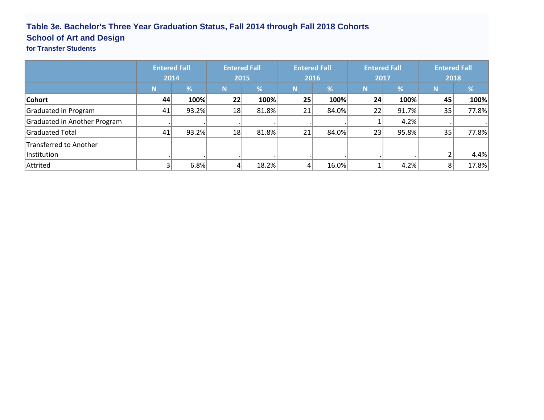## **Table 3e. Bachelor's Three Year Graduation Status, Fall 2014 through Fall 2018 Cohorts School of Art and Design**

## **for Transfer Students**

|                              | <b>Entered Fall</b><br>2014 |       | <b>Entered Fall</b><br>2015 |       | <b>Entered Fall</b><br>2016 |       | <b>Entered Fall</b><br>2017 |            | <b>Entered Fall</b><br>2018 |       |
|------------------------------|-----------------------------|-------|-----------------------------|-------|-----------------------------|-------|-----------------------------|------------|-----------------------------|-------|
|                              | <b>N</b>                    | %     | N                           | %     | N                           | %     |                             | $\sqrt{2}$ | N                           | %     |
| <b>Cohort</b>                | 44                          | 100%  | 22                          | 100%  | 25                          | 100%  | 24                          | 100%       | 45                          | 100%  |
| Graduated in Program         | 41                          | 93.2% | 18                          | 81.8% | 21                          | 84.0% | 22                          | 91.7%      | 35                          | 77.8% |
| Graduated in Another Program |                             |       |                             |       |                             |       |                             | 4.2%       |                             |       |
| Graduated Total              | 41                          | 93.2% | 18                          | 81.8% | 21                          | 84.0% | 23                          | 95.8%      | 35                          | 77.8% |
| Transferred to Another       |                             |       |                             |       |                             |       |                             |            |                             |       |
| Institution                  |                             |       |                             |       |                             |       |                             |            |                             | 4.4%  |
| Attrited                     |                             | 6.8%  | 4                           | 18.2% |                             | 16.0% |                             | 4.2%       | 8                           | 17.8% |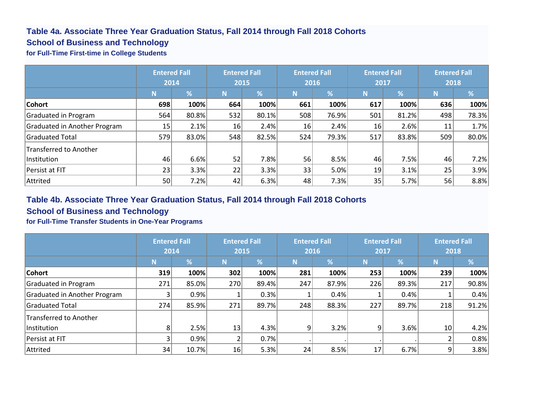#### **Table 4a. Associate Three Year Graduation Status, Fall 2014 through Fall 2018 Cohorts**

#### **School of Business and Technology**

**for Full-Time First-time in College Students**

|                              | <b>Entered Fall</b> |       | <b>Entered Fall</b> |               | <b>Entered Fall</b> |                          | <b>Entered Fall</b> |            | <b>Entered Fall</b> |          |
|------------------------------|---------------------|-------|---------------------|---------------|---------------------|--------------------------|---------------------|------------|---------------------|----------|
|                              | 2014                |       |                     | 2015          |                     | 2016                     | 2017                |            | 2018                |          |
|                              | N                   | %     | N                   | $\frac{9}{6}$ | N                   | $\overline{\mathscr{A}}$ | N                   | $\sqrt{2}$ | N                   | %        |
| <b>Cohort</b>                | 698                 | 100%  | 664                 | 100%          | 661                 | 100%                     | 617                 | 100%       | 636                 | 100%     |
| Graduated in Program         | 564                 | 80.8% | 532                 | 80.1%         | 508                 | 76.9%                    | 501                 | 81.2%      | 498                 | 78.3%    |
| Graduated in Another Program | 15                  | 2.1%  | 16                  | 2.4%          | 16                  | 2.4%                     | 16                  | 2.6%       | 11                  | 1.7%     |
| Graduated Total              | 579                 | 83.0% | 548                 | 82.5%         | 524                 | 79.3%                    | 517                 | 83.8%      | 509                 | $80.0\%$ |
| Transferred to Another       |                     |       |                     |               |                     |                          |                     |            |                     |          |
| Institution                  | 46                  | 6.6%  | 52                  | 7.8%          | 56                  | 8.5%                     | 46                  | 7.5%       | 46                  | 7.2%     |
| Persist at FIT               | 23                  | 3.3%  | 22                  | 3.3%          | 33                  | 5.0%                     | 19                  | 3.1%       | 25                  | 3.9%     |
| Attrited                     | 50 <sup>1</sup>     | 7.2%  | 42                  | 6.3%          | 48                  | 7.3%                     | 35 <sub>1</sub>     | 5.7%       | 56                  | 8.8%     |

#### **Table 4b. Associate Three Year Graduation Status, Fall 2014 through Fall 2018 Cohorts**

#### **School of Business and Technology**

**for Full-Time Transfer Students in One-Year Programs**

|                              | <b>Entered Fall</b><br>2014 |       |     | <b>Entered Fall</b><br>2015 |     | <b>Entered Fall</b><br>2016 |     | <b>Entered Fall</b><br>2017 | <b>Entered Fall</b><br>2018 |       |
|------------------------------|-----------------------------|-------|-----|-----------------------------|-----|-----------------------------|-----|-----------------------------|-----------------------------|-------|
|                              | N                           | %     | N   | %                           | N   | $\overline{\%}$             | N   | %                           | N                           | %     |
| <b>Cohort</b>                | 319                         | 100%  | 302 | 100%                        | 281 | 100%                        | 253 | 100%                        | 239                         | 100%  |
| Graduated in Program         | 271                         | 85.0% | 270 | 89.4%                       | 247 | 87.9%                       | 226 | 89.3%                       | 217                         | 90.8% |
| Graduated in Another Program |                             | 0.9%  |     | 0.3%                        |     | 0.4%                        |     | 0.4%                        |                             | 0.4%  |
| Graduated Total              | 274                         | 85.9% | 271 | 89.7%                       | 248 | 88.3%                       | 227 | 89.7%                       | 218                         | 91.2% |
| Transferred to Another       |                             |       |     |                             |     |                             |     |                             |                             |       |
| Institution                  | 81                          | 2.5%  | 13  | 4.3%                        | 9   | 3.2%                        | 9   | 3.6%                        | 10 <sup>1</sup>             | 4.2%  |
| Persist at FIT               |                             | 0.9%  | L   | 0.7%                        |     |                             |     |                             |                             | 0.8%  |
| Attrited                     | 34                          | 10.7% | 16  | 5.3%                        | 24  | 8.5%                        | 17  | 6.7%                        | 9                           | 3.8%  |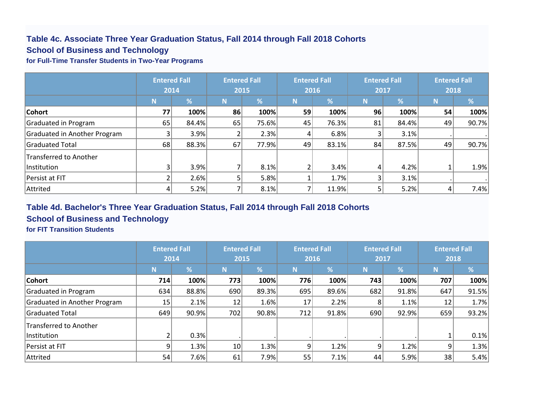#### **Table 4c. Associate Three Year Graduation Status, Fall 2014 through Fall 2018 Cohorts School of Business and Technology**

#### **for Full-Time Transfer Students in Two-Year Programs**

|                              | <b>Entered Fall</b><br>2014 |       | <b>Entered Fall</b><br>2015 |       |          | <b>Entered Fall</b><br>2016 | <b>Entered Fall</b><br>2017 |       | <b>Entered Fall</b><br>2018 |       |
|------------------------------|-----------------------------|-------|-----------------------------|-------|----------|-----------------------------|-----------------------------|-------|-----------------------------|-------|
|                              | N                           | %     | N                           | %     | <b>N</b> | %                           | N                           | %     | N.                          | %     |
| <b>Cohort</b>                | 77                          | 100%  | 86                          | 100%  | 59       | 100%                        | 96                          | 100%  | 54                          | 100%  |
| Graduated in Program         | 65                          | 84.4% | 65                          | 75.6% | 45       | 76.3%                       | 81                          | 84.4% | 49                          | 90.7% |
| Graduated in Another Program |                             | 3.9%  |                             | 2.3%  | 41       | 6.8%                        |                             | 3.1%  |                             |       |
| Graduated Total              | 68                          | 88.3% | 67                          | 77.9% | 49       | 83.1%                       | 84                          | 87.5% | 49                          | 90.7% |
| Transferred to Another       |                             |       |                             |       |          |                             |                             |       |                             |       |
| Institution                  |                             | 3.9%  |                             | 8.1%  |          | 3.4%                        | 4                           | 4.2%  |                             | 1.9%  |
| Persist at FIT               |                             | 2.6%  | 5                           | 5.8%  |          | 1.7%                        |                             | 3.1%  |                             |       |
| Attrited                     |                             | 5.2%  |                             | 8.1%  |          | 11.9%                       |                             | 5.2%  | 4                           | 7.4%  |

#### **Table 4d. Bachelor's Three Year Graduation Status, Fall 2014 through Fall 2018 Cohorts**

### **School of Business and Technology**

**for FIT Transition Students**

|                               | <b>Entered Fall</b> |       | <b>Entered Fall</b> |       | <b>Entered Fall</b> |               | <b>Entered Fall</b> |       | <b>Entered Fall</b> |       |
|-------------------------------|---------------------|-------|---------------------|-------|---------------------|---------------|---------------------|-------|---------------------|-------|
|                               | 2014                |       | 2015                |       | 2016                |               | 2017                |       | 2018                |       |
|                               | <b>N</b>            | %     | N                   | %     | <b>N</b>            | $\frac{9}{6}$ | N                   | %     | N                   | %     |
| <b>Cohort</b>                 | 714                 | 100%  | 773                 | 100%  | 776                 | 100%          | 743                 | 100%  | 707                 | 100%  |
| Graduated in Program          | 634                 | 88.8% | 690                 | 89.3% | 695                 | 89.6%         | 682                 | 91.8% | 647                 | 91.5% |
| Graduated in Another Program  | 15 <sub>l</sub>     | 2.1%  | 12                  | 1.6%  | 17                  | 2.2%          | 8                   | 1.1%  | 12                  | 1.7%  |
| Graduated Total               | 649                 | 90.9% | 702                 | 90.8% | 712                 | 91.8%         | 690                 | 92.9% | 659                 | 93.2% |
| <b>Transferred to Another</b> |                     |       |                     |       |                     |               |                     |       |                     |       |
| Institution                   |                     | 0.3%  |                     |       |                     |               |                     |       |                     | 0.1%  |
| Persist at FIT                | 9                   | 1.3%  | 10 <sup>1</sup>     | 1.3%  | 9                   | 1.2%          | 9                   | 1.2%  | 9                   | 1.3%  |
| Attrited                      | 54                  | 7.6%  | 61                  | 7.9%  | 55                  | 7.1%          | 44                  | 5.9%  | 38                  | 5.4%  |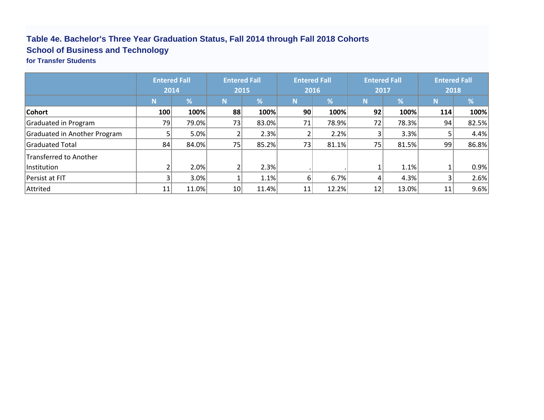## **Table 4e. Bachelor's Three Year Graduation Status, Fall 2014 through Fall 2018 Cohorts School of Business and Technology**

**for Transfer Students**

|                              | <b>Entered Fall</b> |       | <b>Entered Fall</b> |       | <b>Entered Fall</b> |       | <b>Entered Fall</b> |       | <b>Entered Fall</b> |       |
|------------------------------|---------------------|-------|---------------------|-------|---------------------|-------|---------------------|-------|---------------------|-------|
|                              | 2014                |       | 2015                |       | 2016                |       | 2017                |       | 2018                |       |
|                              | N                   | %     | N.                  | %     | N                   | %     | N                   | %     | N                   | %     |
| <b>Cohort</b>                | 100                 | 100%  | 88                  | 100%  | 90                  | 100%  | 92                  | 100%  | 114                 | 100%  |
| Graduated in Program         | 79                  | 79.0% | 73                  | 83.0% | 71                  | 78.9% | 72                  | 78.3% | 94                  | 82.5% |
| Graduated in Another Program |                     | 5.0%  |                     | 2.3%  |                     | 2.2%  |                     | 3.3%  | 5                   | 4.4%  |
| Graduated Total              | 84                  | 84.0% | 75                  | 85.2% | 73                  | 81.1% | 75                  | 81.5% | 99                  | 86.8% |
| Transferred to Another       |                     |       |                     |       |                     |       |                     |       |                     |       |
| lInstitution                 |                     | 2.0%  |                     | 2.3%  |                     |       |                     | 1.1%  |                     | 0.9%  |
| Persist at FIT               |                     | 3.0%  |                     | 1.1%  | 61                  | 6.7%  |                     | 4.3%  | 3                   | 2.6%  |
| Attrited                     | 11                  | 11.0% | 10 <sup>1</sup>     | 11.4% | 11                  | 12.2% | 12                  | 13.0% | 11                  | 9.6%  |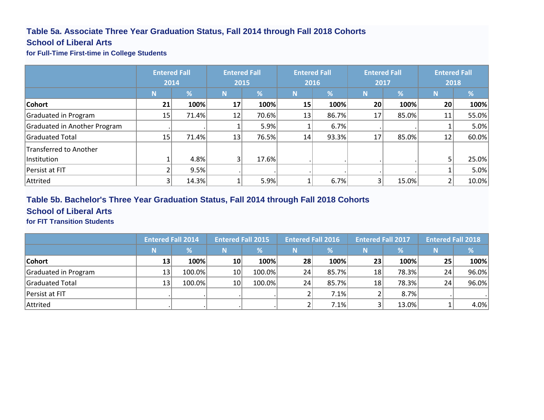### **Table 5a. Associate Three Year Graduation Status, Fall 2014 through Fall 2018 Cohorts**

#### **School of Liberal Arts**

**for Full-Time First-time in College Students**

|                              | <b>Entered Fall</b> |       | <b>Entered Fall</b> |       |      | <b>Entered Fall</b> | <b>Entered Fall</b> |       | <b>Entered Fall</b> |       |
|------------------------------|---------------------|-------|---------------------|-------|------|---------------------|---------------------|-------|---------------------|-------|
|                              | 2014                |       | 2015                |       | 2016 |                     | 2017                |       | 2018                |       |
|                              | N                   | %     | N                   | %     | N    | $\overline{\%}$     | N                   | %     | N                   | %     |
| Cohort                       | 21                  | 100%  | 17                  | 100%  | 15   | 100%                | 20                  | 100%  | 20                  | 100%  |
| Graduated in Program         | 15                  | 71.4% | 12                  | 70.6% | 13   | 86.7%               | 17                  | 85.0% | 11                  | 55.0% |
| Graduated in Another Program |                     |       |                     | 5.9%  |      | 6.7%                |                     |       |                     | 5.0%  |
| Graduated Total              | 15                  | 71.4% | 13                  | 76.5% | 14   | 93.3%               | 17                  | 85.0% | 12                  | 60.0% |
| Transferred to Another       |                     |       |                     |       |      |                     |                     |       |                     |       |
| <b>Institution</b>           |                     | 4.8%  |                     | 17.6% |      |                     |                     |       |                     | 25.0% |
| Persist at FIT               |                     | 9.5%  |                     |       |      |                     |                     |       |                     | 5.0%  |
| Attrited                     |                     | 14.3% |                     | 5.9%  |      | 6.7%                |                     | 15.0% |                     | 10.0% |

#### **Table 5b. Bachelor's Three Year Graduation Status, Fall 2014 through Fall 2018 Cohorts**

#### **School of Liberal Arts**

**for FIT Transition Students**

|                      | <b>Entered Fall 2014</b> |               | <b>Entered Fall 2015</b> |        | <b>Entered Fall 2016</b> |       | <b>Entered Fall 2017</b> |               | <b>Entered Fall 2018</b> |          |
|----------------------|--------------------------|---------------|--------------------------|--------|--------------------------|-------|--------------------------|---------------|--------------------------|----------|
|                      | 'N.                      | $\frac{9}{6}$ | N                        | %      | N                        | ℅     |                          | $\frac{9}{6}$ | N                        |          |
| Cohort               | 13                       | 100%          | 10 <sup>1</sup>          | 100%   | 28                       | 100%  | 23                       | 100%          | 25                       | 100%     |
| Graduated in Program | 13                       | 100.0%        | 10 <sup>1</sup>          | 100.0% | 24                       | 85.7% | 18                       | 78.3%         | 24                       | $96.0\%$ |
| Graduated Total      | 13                       | 100.0%        | 10 <sup>1</sup>          | 100.0% | 24                       | 85.7% | 18                       | 78.3%         | 24                       | 96.0%    |
| Persist at FIT       |                          |               |                          |        |                          | 7.1%  |                          | 8.7%          |                          |          |
| Attrited             |                          |               |                          |        |                          | 7.1%  |                          | 13.0%         |                          | 4.0%     |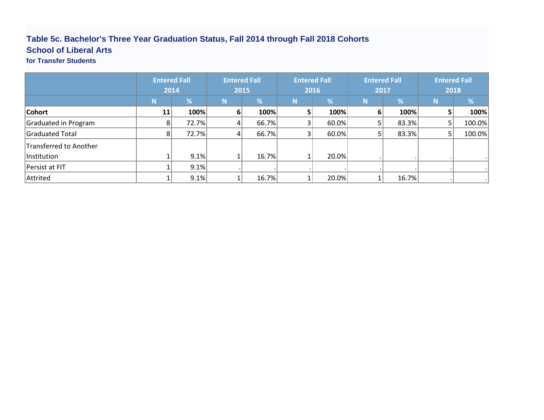## **Table 5c. Bachelor's Three Year Graduation Status, Fall 2014 through Fall 2018 Cohorts School of Liberal Arts**

**for Transfer Students**

|                        | <b>Entered Fall</b><br>2014 |       | <b>Entered Fall</b><br>2015 |       | <b>Entered Fall</b><br>2016 |       | <b>Entered Fall</b><br>2017 |       | <b>Entered Fall</b><br>2018 |        |
|------------------------|-----------------------------|-------|-----------------------------|-------|-----------------------------|-------|-----------------------------|-------|-----------------------------|--------|
|                        | Ν                           | %     | N                           | %     | N                           | %     | N                           | %     | <b>N</b>                    | $\%$   |
| <b>Cohort</b>          | 11                          | 100%  | $6 \mid$                    | 100%  |                             | 100%  |                             | 100%  |                             | 100%   |
| Graduated in Program   |                             | 72.7% | $\vert 4 \vert$             | 66.7% |                             | 60.0% |                             | 83.3% |                             | 100.0% |
| Graduated Total        |                             | 72.7% | $\vert 4 \vert$             | 66.7% |                             | 60.0% |                             | 83.3% |                             | 100.0% |
| Transferred to Another |                             |       |                             |       |                             |       |                             |       |                             |        |
| Institution            |                             | 9.1%  |                             | 16.7% |                             | 20.0% |                             |       |                             |        |
| Persist at FIT         |                             | 9.1%  |                             |       |                             |       |                             |       |                             |        |
| Attrited               |                             | 9.1%  |                             | 16.7% |                             | 20.0% |                             | 16.7% |                             |        |